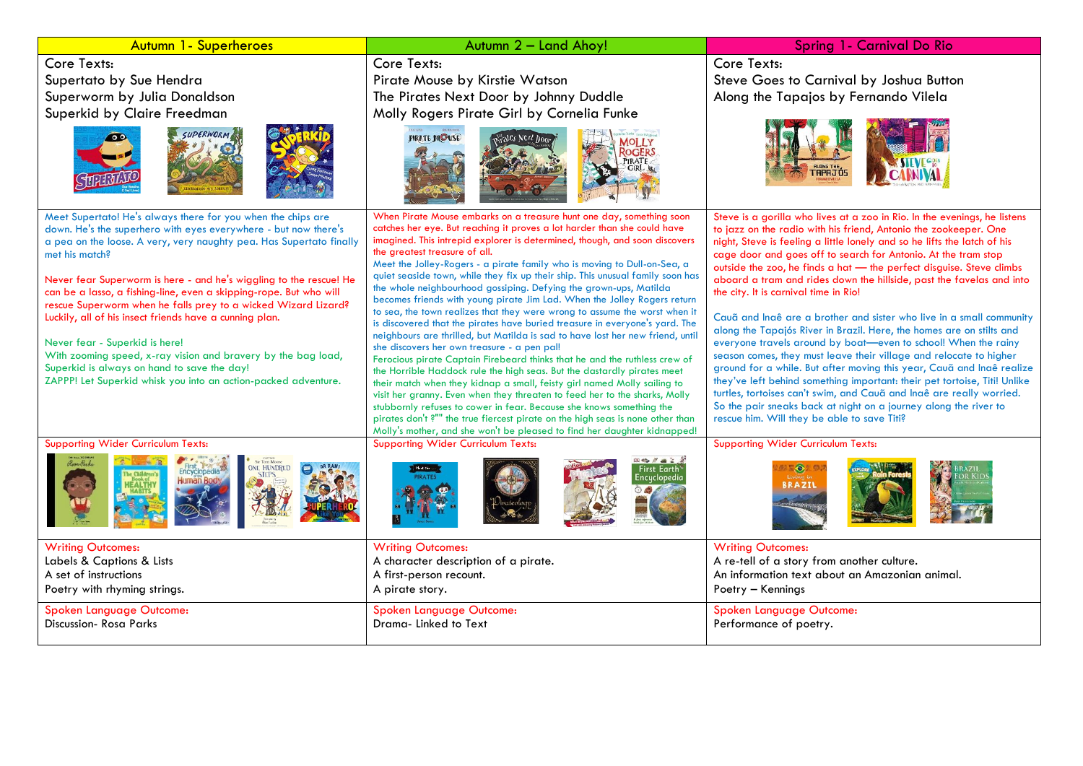### Autumn 1- Superheroes **Autumn 2 – Land Ahoy!** Spring 1- Carnival Do Rio

Core Texts: Supertato by Sue Hendra Superworm by Julia Donaldson Superkid by Claire Freedman







Meet Supertato! He's always there for you when the chips are down. He's the superhero with eyes everywhere - but now there's a pea on the loose. A very, very naughty pea. Has Supertato finally met his match?

Never fear Superworm is here - and he's wiggling to the rescue! He can be a lasso, a fishing-line, even a skipping-rope. But who will rescue Superworm when he falls prey to a wicked Wizard Lizard? Luckily, all of his insect friends have a cunning plan.

Never fear - Superkid is here! With zooming speed, x-ray vision and bravery by the bag load, Superkid is always on hand to save the day! ZAPPP! Let Superkid whisk you into an action-packed adventure.

### Core Texts:

Pirate Mouse by Kirstie Watson The Pirates Next Door by Johnny Duddle Molly Rogers Pirate Girl by Cornelia Funke







Supporting Wider Curriculum Texts:











Supporting Wider Curriculum Texts: Supporting Wider Curriculum Texts:





| <b>Writing Outcomes:</b>     | <b>Writing Outcomes:</b>             | <b>Writing Outcomes:</b>                       |
|------------------------------|--------------------------------------|------------------------------------------------|
| Labels & Captions & Lists    | A character description of a pirate. | A re-tell of a story from another culture.     |
| A set of instructions        | A first-person recount.              | An information text about an Amazonian animal. |
| Poetry with rhyming strings. | A pirate story.                      | Poetry – Kennings                              |
| Spoken Language Outcome:     | Spoken Language Outcome:             | Spoken Language Outcome:                       |
| Discussion-Rosa Parks        | Drama-Linked to Text                 | Performance of poetry.                         |
|                              |                                      |                                                |

pirates don't ?"" the true fiercest pirate on the high seas is none other than Molly's mother, and she won't be pleased to find her daughter kidnapped!

# Core Texts: Steve Goes to Carnival by Joshua Button Along the Tapajos by Fernando Vilela



Steve is a gorilla who lives at a zoo in Rio. In the evenings, he listens

rescue him. Will they be able to save Titi?